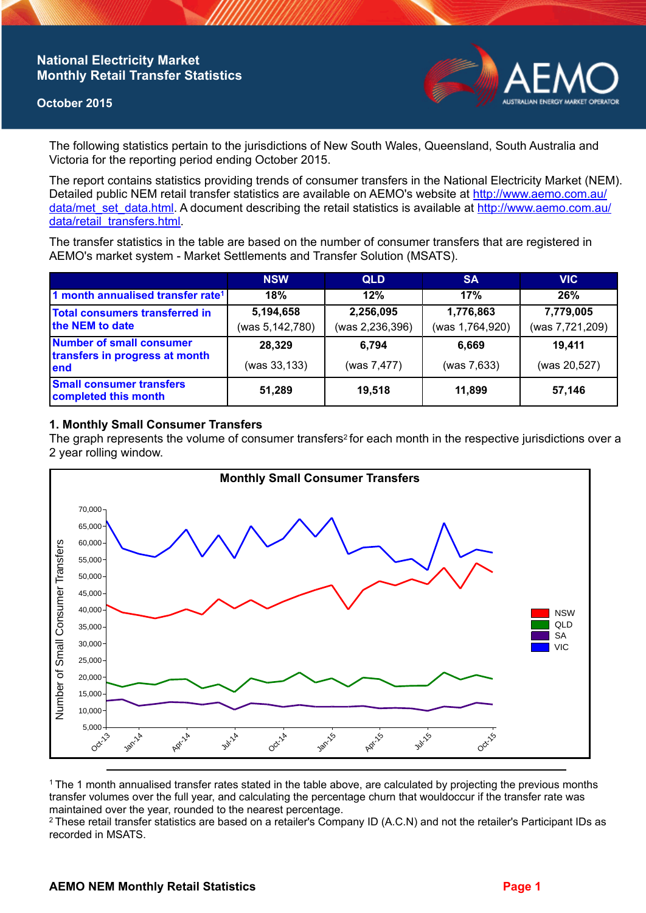## **National Electricity Market Monthly Retail Transfer Statistics**

### **October 2015**



The following statistics pertain to the jurisdictions of New South Wales, Queensland, South Australia and Victoria for the reporting period ending October 2015.

The report contains statistics providing trends of consumer transfers in the National Electricity Market (NEM). Detailed public NEM retail transfer statistics are available on AEMO's website at [http://www.aemo.com.au/](http://www.aemo.com.au/data/met_set_data.html) [data/met\\_set\\_data.html](http://www.aemo.com.au/data/met_set_data.html). A document describing the retail statistics is available at [http://www.aemo.com.au/](http://www.aemo.com.au/data/retail_transfers.html) [data/retail\\_transfers.html](http://www.aemo.com.au/data/retail_transfers.html).

The transfer statistics in the table are based on the number of consumer transfers that are registered in AEMO's market system - Market Settlements and Transfer Solution (MSATS).

|                                                                    | <b>NSW</b>                   | <b>QLD</b>                   | <b>SA</b>                    | <b>VIC</b>                   |
|--------------------------------------------------------------------|------------------------------|------------------------------|------------------------------|------------------------------|
| 1 month annualised transfer rate <sup>1</sup>                      | 18%                          | 12%                          | 17%                          | 26%                          |
| <b>Total consumers transferred in</b><br>the NEM to date           | 5,194,658<br>(was 5,142,780) | 2,256,095<br>(was 2,236,396) | 1,776,863<br>(was 1,764,920) | 7,779,005<br>(was 7,721,209) |
| Number of small consumer<br>transfers in progress at month<br>lend | 28,329<br>(was 33, 133)      | 6,794<br>(was 7,477)         | 6.669<br>(was 7,633)         | 19.411<br>(was 20,527)       |
| <b>Small consumer transfers</b><br>completed this month            | 51,289                       | 19,518                       | 11,899                       | 57,146                       |

### **1. Monthly Small Consumer Transfers**

The graph represents the volume of consumer transfers<sup>2</sup> for each month in the respective jurisdictions over a 2 year rolling window.



<sup>1</sup>The 1 month annualised transfer rates stated in the table above, are calculated by projecting the previous months transfer volumes over the full year, and calculating the percentage churn that wouldoccur if the transfer rate was maintained over the year, rounded to the nearest percentage.

<sup>2</sup> These retail transfer statistics are based on a retailer's Company ID (A.C.N) and not the retailer's Participant IDs as recorded in MSATS.